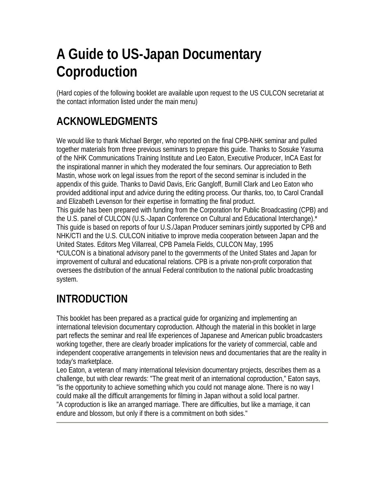# **A Guide to US-Japan Documentary Coproduction**

(Hard copies of the following booklet are available upon request to the US CULCON secretariat at the contact information listed under the main menu)

# **ACKNOWLEDGMENTS**

We would like to thank Michael Berger, who reported on the final CPB-NHK seminar and pulled together materials from three previous seminars to prepare this guide. Thanks to Sosuke Yasuma of the NHK Communications Training Institute and Leo Eaton, Executive Producer, InCA East for the inspirational manner in which they moderated the four seminars. Our appreciation to Beth Mastin, whose work on legal issues from the report of the second seminar is included in the appendix of this guide. Thanks to David Davis, Eric Gangloff, Burnill Clark and Leo Eaton who provided additional input and advice during the editing process. Our thanks, too, to Carol Crandall and Elizabeth Levenson for their expertise in formatting the final product.

This guide has been prepared with funding from the Corporation for Public Broadcasting (CPB) and the U.S. panel of CULCON (U.S.-Japan Conference on Cultural and Educational Interchange).\* This guide is based on reports of four U.S./Japan Producer seminars jointly supported by CPB and NHK/CTI and the U.S. CULCON initiative to improve media cooperation between Japan and the United States. Editors Meg Villarreal, CPB Pamela Fields, CULCON May, 1995

\*CULCON is a binational advisory panel to the governments of the United States and Japan for improvement of cultural and educational relations. CPB is a private non-profit corporation that oversees the distribution of the annual Federal contribution to the national public broadcasting system.

# **INTRODUCTION**

This booklet has been prepared as a practical guide for organizing and implementing an international television documentary coproduction. Although the material in this booklet in large part reflects the seminar and real life experiences of Japanese and American public broadcasters working together, there are clearly broader implications for the variety of commercial, cable and independent cooperative arrangements in television news and documentaries that are the reality in today's marketplace.

Leo Eaton, a veteran of many international television documentary projects, describes them as a challenge, but with clear rewards: "The great merit of an international coproduction," Eaton says, "is the opportunity to achieve something which you could not manage alone. There is no way I could make all the difficult arrangements for filming in Japan without a solid local partner. "A coproduction is like an arranged marriage. There are difficulties, but like a marriage, it can endure and blossom, but only if there is a commitment on both sides."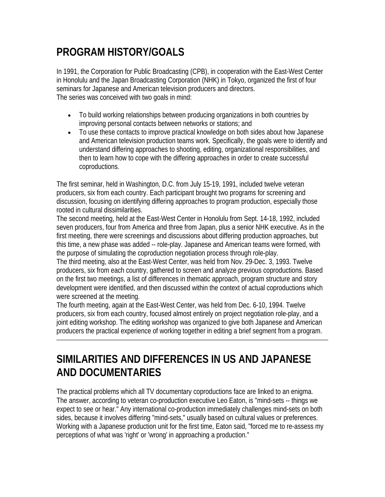# **PROGRAM HISTORY/GOALS**

In 1991, the Corporation for Public Broadcasting (CPB), in cooperation with the East-West Center in Honolulu and the Japan Broadcasting Corporation (NHK) in Tokyo, organized the first of four seminars for Japanese and American television producers and directors. The series was conceived with two goals in mind:

- To build working relationships between producing organizations in both countries by improving personal contacts between networks or stations; and
- To use these contacts to improve practical knowledge on both sides about how Japanese and American television production teams work. Specifically, the goals were to identify and understand differing approaches to shooting, editing, organizational responsibilities, and then to learn how to cope with the differing approaches in order to create successful coproductions.

The first seminar, held in Washington, D.C. from July 15-19, 1991, included twelve veteran producers, six from each country. Each participant brought two programs for screening and discussion, focusing on identifying differing approaches to program production, especially those rooted in cultural dissimilarities.

The second meeting, held at the East-West Center in Honolulu from Sept. 14-18, 1992, included seven producers, four from America and three from Japan, plus a senior NHK executive. As in the first meeting, there were screenings and discussions about differing production approaches, but this time, a new phase was added -- role-play. Japanese and American teams were formed, with the purpose of simulating the coproduction negotiation process through role-play.

The third meeting, also at the East-West Center, was held from Nov. 29-Dec. 3, 1993. Twelve producers, six from each country, gathered to screen and analyze previous coproductions. Based on the first two meetings, a list of differences in thematic approach, program structure and story development were identified, and then discussed within the context of actual coproductions which were screened at the meeting.

The fourth meeting, again at the East-West Center, was held from Dec. 6-10, 1994. Twelve producers, six from each country, focused almost entirely on project negotiation role-play, and a joint editing workshop. The editing workshop was organized to give both Japanese and American producers the practical experience of working together in editing a brief segment from a program.

# **SIMILARITIES AND DIFFERENCES IN US AND JAPANESE AND DOCUMENTARIES**

The practical problems which all TV documentary coproductions face are linked to an enigma. The answer, according to veteran co-production executive Leo Eaton, is "mind-sets -- things we expect to see or hear." Any international co-production immediately challenges mind-sets on both sides, because it involves differing "mind-sets," usually based on cultural values or preferences. Working with a Japanese production unit for the first time, Eaton said, "forced me to re-assess my perceptions of what was 'right' or 'wrong' in approaching a production."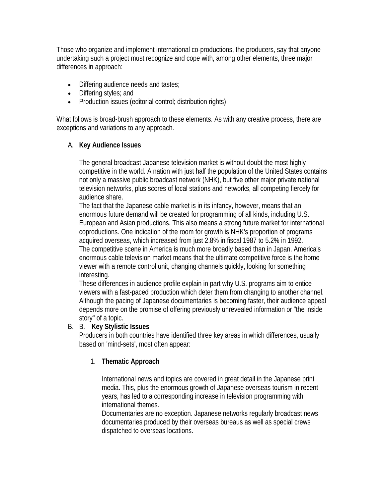Those who organize and implement international co-productions, the producers, say that anyone undertaking such a project must recognize and cope with, among other elements, three major differences in approach:

- Differing audience needs and tastes;
- Differing styles; and
- Production issues (editorial control; distribution rights)

What follows is broad-brush approach to these elements. As with any creative process, there are exceptions and variations to any approach.

#### A. **Key Audience Issues**

The general broadcast Japanese television market is without doubt the most highly competitive in the world. A nation with just half the population of the United States contains not only a massive public broadcast network (NHK), but five other major private national television networks, plus scores of local stations and networks, all competing fiercely for audience share.

The fact that the Japanese cable market is in its infancy, however, means that an enormous future demand will be created for programming of all kinds, including U.S., European and Asian productions. This also means a strong future market for international coproductions. One indication of the room for growth is NHK's proportion of programs acquired overseas, which increased from just 2.8% in fiscal 1987 to 5.2% in 1992. The competitive scene in America is much more broadly based than in Japan. America's enormous cable television market means that the ultimate competitive force is the home viewer with a remote control unit, changing channels quickly, looking for something interesting.

These differences in audience profile explain in part why U.S. programs aim to entice viewers with a fast-paced production which deter them from changing to another channel. Although the pacing of Japanese documentaries is becoming faster, their audience appeal depends more on the promise of offering previously unrevealed information or "the inside story" of a topic.

#### B. B. **Key Stylistic Issues**

Producers in both countries have identified three key areas in which differences, usually based on 'mind-sets', most often appear:

### 1. **Thematic Approach**

International news and topics are covered in great detail in the Japanese print media. This, plus the enormous growth of Japanese overseas tourism in recent years, has led to a corresponding increase in television programming with international themes.

Documentaries are no exception. Japanese networks regularly broadcast news documentaries produced by their overseas bureaus as well as special crews dispatched to overseas locations.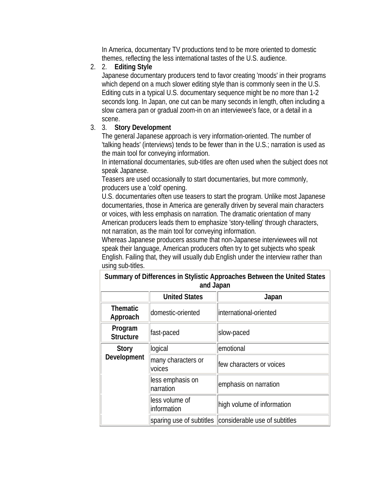In America, documentary TV productions tend to be more oriented to domestic themes, reflecting the less international tastes of the U.S. audience.

#### 2. 2. **Editing Style**

Japanese documentary producers tend to favor creating 'moods' in their programs which depend on a much slower editing style than is commonly seen in the U.S. Editing cuts in a typical U.S. documentary sequence might be no more than 1-2 seconds long. In Japan, one cut can be many seconds in length, often including a slow camera pan or gradual zoom-in on an interviewee's face, or a detail in a scene.

### 3. 3. **Story Development**

The general Japanese approach is very information-oriented. The number of 'talking heads' (interviews) tends to be fewer than in the U.S.; narration is used as the main tool for conveying information.

In international documentaries, sub-titles are often used when the subject does not speak Japanese.

Teasers are used occasionally to start documentaries, but more commonly, producers use a 'cold' opening.

U.S. documentaries often use teasers to start the program. Unlike most Japanese documentaries, those in America are generally driven by several main characters or voices, with less emphasis on narration. The dramatic orientation of many American producers leads them to emphasize 'story-telling' through characters, not narration, as the main tool for conveying information.

Whereas Japanese producers assume that non-Japanese interviewees will not speak their language, American producers often try to get subjects who speak English. Failing that, they will usually dub English under the interview rather than using sub-titles.

|                             | and Japan                     |                                                        |
|-----------------------------|-------------------------------|--------------------------------------------------------|
|                             | <b>United States</b>          | Japan                                                  |
| <b>Thematic</b><br>Approach | domestic-oriented             | international-oriented                                 |
| Program<br><b>Structure</b> | fast-paced                    | slow-paced                                             |
| Story<br>Development        | logical                       | emotional                                              |
|                             | many characters or<br>voices  | few characters or voices                               |
|                             | less emphasis on<br>narration | emphasis on narration                                  |
|                             | less volume of<br>information | high volume of information                             |
|                             |                               | sparing use of subtitles considerable use of subtitles |

**Summary of Differences in Stylistic Approaches Between the United States and Japan**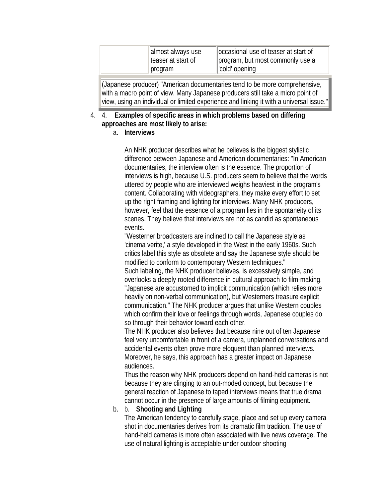| cold opening<br>  program |
|---------------------------|
|---------------------------|

(Japanese producer) "American documentaries tend to be more comprehensive, with a macro point of view. Many Japanese producers still take a micro point of view, using an individual or limited experience and linking it with a universal issue."

### 4. 4. **Examples of specific areas in which problems based on differing approaches are most likely to arise:**

#### a. **Interviews**

An NHK producer describes what he believes is the biggest stylistic difference between Japanese and American documentaries: "In American documentaries, the interview often is the essence. The proportion of interviews is high, because U.S. producers seem to believe that the words uttered by people who are interviewed weighs heaviest in the program's content. Collaborating with videographers, they make every effort to set up the right framing and lighting for interviews. Many NHK producers, however, feel that the essence of a program lies in the spontaneity of its scenes. They believe that interviews are not as candid as spontaneous events.

"Westerner broadcasters are inclined to call the Japanese style as 'cinema verite,' a style developed in the West in the early 1960s. Such critics label this style as obsolete and say the Japanese style should be modified to conform to contemporary Western techniques."

Such labeling, the NHK producer believes, is excessively simple, and overlooks a deeply rooted difference in cultural approach to film-making. "Japanese are accustomed to implicit communication (which relies more heavily on non-verbal communication), but Westerners treasure explicit communication." The NHK producer argues that unlike Western couples which confirm their love or feelings through words, Japanese couples do so through their behavior toward each other.

The NHK producer also believes that because nine out of ten Japanese feel very uncomfortable in front of a camera, unplanned conversations and accidental events often prove more eloquent than planned interviews. Moreover, he says, this approach has a greater impact on Japanese audiences.

Thus the reason why NHK producers depend on hand-held cameras is not because they are clinging to an out-moded concept, but because the general reaction of Japanese to taped interviews means that true drama cannot occur in the presence of large amounts of filming equipment.

### b. b. **Shooting and Lighting**

The American tendency to carefully stage, place and set up every camera shot in documentaries derives from its dramatic film tradition. The use of hand-held cameras is more often associated with live news coverage. The use of natural lighting is acceptable under outdoor shooting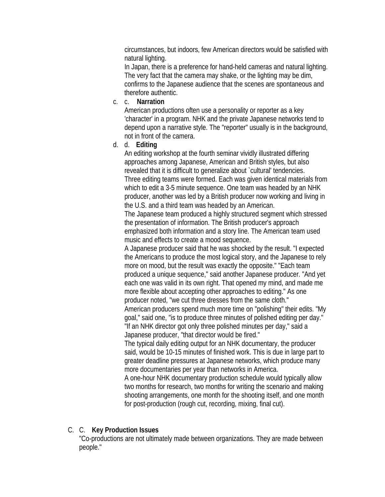circumstances, but indoors, few American directors would be satisfied with natural lighting.

In Japan, there is a preference for hand-held cameras and natural lighting. The very fact that the camera may shake, or the lighting may be dim, confirms to the Japanese audience that the scenes are spontaneous and therefore authentic.

c. c. **Narration**

American productions often use a personality or reporter as a key 'character' in a program. NHK and the private Japanese networks tend to depend upon a narrative style. The "reporter" usually is in the background, not in front of the camera.

d. d. **Editing**

An editing workshop at the fourth seminar vividly illustrated differing approaches among Japanese, American and British styles, but also revealed that it is difficult to generalize about `cultural' tendencies. Three editing teams were formed. Each was given identical materials from which to edit a 3-5 minute sequence. One team was headed by an NHK producer, another was led by a British producer now working and living in the U.S. and a third team was headed by an American.

The Japanese team produced a highly structured segment which stressed the presentation of information. The British producer's approach emphasized both information and a story line. The American team used music and effects to create a mood sequence.

A Japanese producer said that he was shocked by the result. "I expected the Americans to produce the most logical story, and the Japanese to rely more on mood, but the result was exactly the opposite." "Each team produced a unique sequence," said another Japanese producer. "And yet each one was valid in its own right. That opened my mind, and made me more flexible about accepting other approaches to editing." As one producer noted, "we cut three dresses from the same cloth."

American producers spend much more time on "polishing" their edits. "My goal," said one, "is to produce three minutes of polished editing per day." "If an NHK director got only three polished minutes per day," said a Japanese producer, "that director would be fired."

The typical daily editing output for an NHK documentary, the producer said, would be 10-15 minutes of finished work. This is due in large part to greater deadline pressures at Japanese networks, which produce many more documentaries per year than networks in America.

A one-hour NHK documentary production schedule would typically allow two months for research, two months for writing the scenario and making shooting arrangements, one month for the shooting itself, and one month for post-production (rough cut, recording, mixing, final cut).

### C. C. **Key Production Issues**

"Co-productions are not ultimately made between organizations. They are made between people."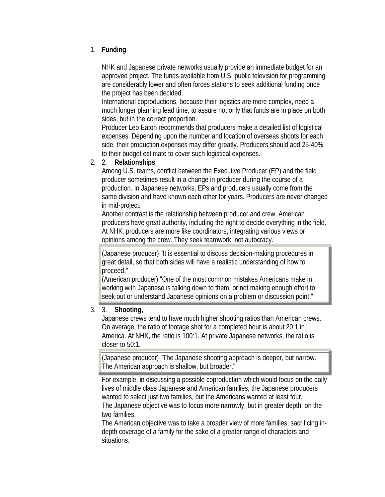### 1. **Funding**

NHK and Japanese private networks usually provide an immediate budget for an approved project. The funds available from U.S. public television for programming are considerably lower and often forces stations to seek additional funding once the project has been decided.

International coproductions, because their logistics are more complex, need a much longer planning lead time, to assure not only that funds are in place on both sides, but in the correct proportion.

Producer Leo Eaton recommends that producers make a detailed list of logistical expenses. Depending upon the number and location of overseas shoots for each side, their production expenses may differ greatly. Producers should add 25-40% to their budget estimate to cover such logistical expenses.

#### 2. 2. **Relationships**

Among U.S. teams, conflict between the Executive Producer (EP) and the field producer sometimes result in a change in producer during the course of a production. In Japanese networks, EPs and producers usually come from the same division and have known each other for years. Producers are never changed in mid-project.

Another contrast is the relationship between producer and crew. American producers have great authority, including the right to decide everything in the field. At NHK, producers are more like coordinators, integrating various views or opinions among the crew. They seek teamwork, not autocracy.

(Japanese producer) "It is essential to discuss decision-making procedures in great detail, so that both sides will have a realistic understanding of how to proceed."

(American producer) "One of the most common mistakes Americans make in working with Japanese is talking down to them, or not making enough effort to seek out or understand Japanese opinions on a problem or discussion point."

#### 3. 3. **Shooting,**

Japanese crews tend to have much higher shooting ratios than American crews. On average, the ratio of footage shot for a completed hour is about 20:1 in America. At NHK, the ratio is 100:1. At private Japanese networks, the ratio is closer to 50:1.

(Japanese producer) "The Japanese shooting approach is deeper, but narrow. The American approach is shallow, but broader."

For example, in discussing a possible coproduction which would focus on the daily lives of middle class Japanese and American families, the Japanese producers wanted to select just two families, but the Americans wanted at least four. The Japanese objective was to focus more narrowly, but in greater depth, on the two families.

The American objective was to take a broader view of more families, sacrificing indepth coverage of a family for the sake of a greater range of characters and situations.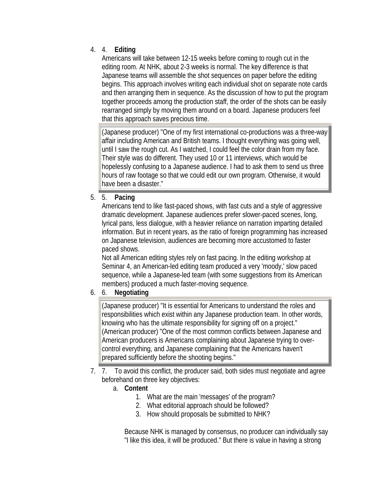## 4. 4. **Editing**

Americans will take between 12-15 weeks before coming to rough cut in the editing room. At NHK, about 2-3 weeks is normal. The key difference is that Japanese teams will assemble the shot sequences on paper before the editing begins. This approach involves writing each individual shot on separate note cards and then arranging them in sequence. As the discussion of how to put the program together proceeds among the production staff, the order of the shots can be easily rearranged simply by moving them around on a board. Japanese producers feel that this approach saves precious time.

(Japanese producer) "One of my first international co-productions was a three-way affair including American and British teams. I thought everything was going well, until I saw the rough cut. As I watched, I could feel the color drain from my face. Their style was do different. They used 10 or 11 interviews, which would be hopelessly confusing to a Japanese audience. I had to ask them to send us three hours of raw footage so that we could edit our own program. Otherwise, it would have been a disaster."

### 5. 5. **Pacing**

Americans tend to like fast-paced shows, with fast cuts and a style of aggressive dramatic development. Japanese audiences prefer slower-paced scenes, long, lyrical pans, less dialogue, with a heavier reliance on narration imparting detailed information. But in recent years, as the ratio of foreign programming has increased on Japanese television, audiences are becoming more accustomed to faster paced shows.

Not all American editing styles rely on fast pacing. In the editing workshop at Seminar 4, an American-led editing team produced a very 'moody,' slow paced sequence, while a Japanese-led team (with some suggestions from its American members) produced a much faster-moving sequence.

### 6. 6. **Negotiating**

(Japanese producer) "It is essential for Americans to understand the roles and responsibilities which exist within any Japanese production team. In other words, knowing who has the ultimate responsibility for signing off on a project." (American producer) "One of the most common conflicts between Japanese and American producers is Americans complaining about Japanese trying to overcontrol everything, and Japanese complaining that the Americans haven't prepared sufficiently before the shooting begins."

- 7. 7. To avoid this conflict, the producer said, both sides must negotiate and agree beforehand on three key objectives:
	- a. **Content**
		- 1. What are the main 'messages' of the program?
		- 2. What editorial approach should be followed?
		- 3. How should proposals be submitted to NHK?

Because NHK is managed by consensus, no producer can individually say "I like this idea, it will be produced." But there is value in having a strong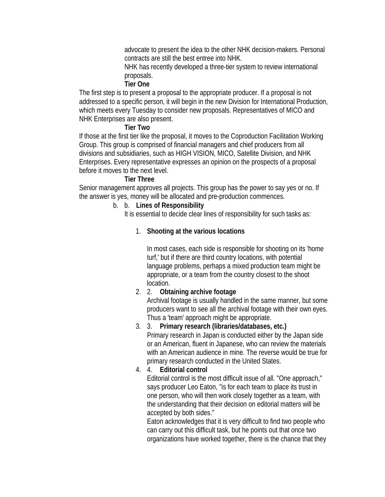advocate to present the idea to the other NHK decision-makers. Personal contracts are still the best entree into NHK.

NHK has recently developed a three-tier system to review international proposals.

#### **Tier One**

The first step is to present a proposal to the appropriate producer. If a proposal is not addressed to a specific person, it will begin in the new Division for International Production, which meets every Tuesday to consider new proposals. Representatives of MICO and NHK Enterprises are also present.

### **Tier Two**

If those at the first tier like the proposal, it moves to the Coproduction Facilitation Working Group. This group is comprised of financial managers and chief producers from all divisions and subsidiaries, such as HIGH VISION, MICO, Satellite Division, and NHK Enterprises. Every representative expresses an opinion on the prospects of a proposal before it moves to the next level.

#### **Tier Three**

Senior management approves all projects. This group has the power to say yes or no. If the answer is yes, money will be allocated and pre-production commences.

# b. b. **Lines of Responsibility**

It is essential to decide clear lines of responsibility for such tasks as:

### 1. **Shooting at the various locations**

In most cases, each side is responsible for shooting on its 'home turf,' but if there are third country locations, with potential language problems, perhaps a mixed production team might be appropriate, or a team from the country closest to the shoot location.

### 2. 2. **Obtaining archive footage**

Archival footage is usually handled in the same manner, but some producers want to see all the archival footage with their own eyes. Thus a 'team' approach might be appropriate.

3. 3. **Primary research (libraries/databases, etc.)** 

Primary research in Japan is conducted either by the Japan side or an American, fluent in Japanese, who can review the materials with an American audience in mine. The reverse would be true for primary research conducted in the United States.

4. 4. **Editorial control**

Editorial control is the most difficult issue of all. "One approach," says producer Leo Eaton, "is for each team to place its trust in one person, who will then work closely together as a team, with the understanding that their decision on editorial matters will be accepted by both sides."

Eaton acknowledges that it is very difficult to find two people who can carry out this difficult task, but he points out that once two organizations have worked together, there is the chance that they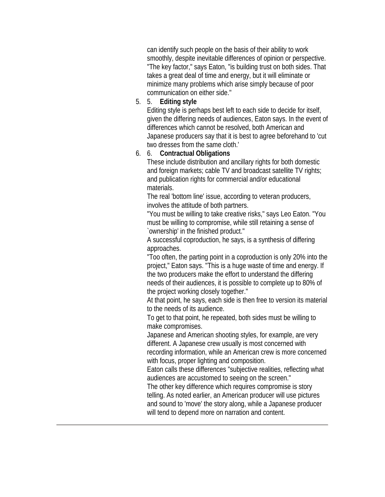can identify such people on the basis of their ability to work smoothly, despite inevitable differences of opinion or perspective. "The key factor," says Eaton, "is building trust on both sides. That takes a great deal of time and energy, but it will eliminate or minimize many problems which arise simply because of poor communication on either side."

5. 5. **Editing style**

Editing style is perhaps best left to each side to decide for itself, given the differing needs of audiences, Eaton says. In the event of differences which cannot be resolved, both American and Japanese producers say that it is best to agree beforehand to 'cut two dresses from the same cloth.'

#### 6. 6. **Contractual Obligations**

These include distribution and ancillary rights for both domestic and foreign markets; cable TV and broadcast satellite TV rights; and publication rights for commercial and/or educational materials.

The real 'bottom line' issue, according to veteran producers, involves the attitude of both partners.

"You must be willing to take creative risks," says Leo Eaton. "You must be willing to compromise, while still retaining a sense of `ownership' in the finished product."

A successful coproduction, he says, is a synthesis of differing approaches.

"Too often, the parting point in a coproduction is only 20% into the project," Eaton says. "This is a huge waste of time and energy. If the two producers make the effort to understand the differing needs of their audiences, it is possible to complete up to 80% of the project working closely together."

At that point, he says, each side is then free to version its material to the needs of its audience.

To get to that point, he repeated, both sides must be willing to make compromises.

Japanese and American shooting styles, for example, are very different. A Japanese crew usually is most concerned with recording information, while an American crew is more concerned with focus, proper lighting and composition.

Eaton calls these differences "subjective realities, reflecting what audiences are accustomed to seeing on the screen."

The other key difference which requires compromise is story telling. As noted earlier, an American producer will use pictures and sound to 'move' the story along, while a Japanese producer will tend to depend more on narration and content.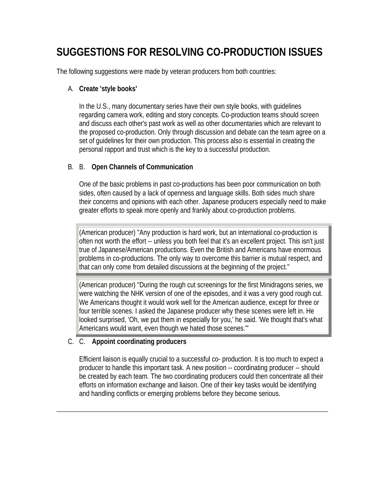# **SUGGESTIONS FOR RESOLVING CO-PRODUCTION ISSUES**

The following suggestions were made by veteran producers from both countries:

#### A. **Create 'style books'**

In the U.S., many documentary series have their own style books, with guidelines regarding camera work, editing and story concepts. Co-production teams should screen and discuss each other's past work as well as other documentaries which are relevant to the proposed co-production. Only through discussion and debate can the team agree on a set of guidelines for their own production. This process also is essential in creating the personal rapport and trust which is the key to a successful production.

### B. B. **Open Channels of Communication**

One of the basic problems in past co-productions has been poor communication on both sides, often caused by a lack of openness and language skills. Both sides much share their concerns and opinions with each other. Japanese producers especially need to make greater efforts to speak more openly and frankly about co-production problems.

(American producer) "Any production is hard work, but an international co-production is often not worth the effort -- unless you both feel that it's an excellent project. This isn't just true of Japanese/American productions. Even the British and Americans have enormous problems in co-productions. The only way to overcome this barrier is mutual respect, and that can only come from detailed discussions at the beginning of the project."

(American producer) "During the rough cut screenings for the first Minidragons series, we were watching the NHK version of one of the episodes, and it was a very good rough cut. We Americans thought it would work well for the American audience, except for three or four terrible scenes. I asked the Japanese producer why these scenes were left in. He looked surprised, 'Oh, we put them in especially for you,' he said. 'We thought that's what Americans would want, even though we hated those scenes.'"

### C. C. **Appoint coordinating producers**

Efficient liaison is equally crucial to a successful co- production. It is too much to expect a producer to handle this important task. A new position -- coordinating producer -- should be created by each team. The two coordinating producers could then concentrate all their efforts on information exchange and liaison. One of their key tasks would be identifying and handling conflicts or emerging problems before they become serious.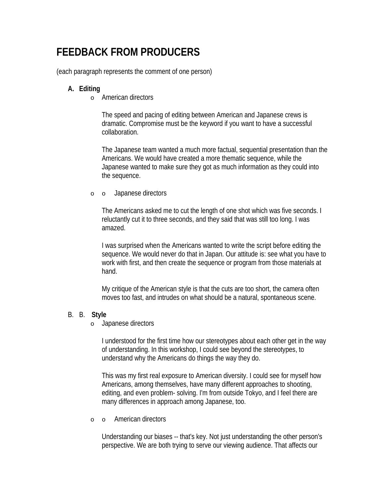# **FEEDBACK FROM PRODUCERS**

(each paragraph represents the comment of one person)

#### **A. Editing**

o American directors

The speed and pacing of editing between American and Japanese crews is dramatic. Compromise must be the keyword if you want to have a successful collaboration.

The Japanese team wanted a much more factual, sequential presentation than the Americans. We would have created a more thematic sequence, while the Japanese wanted to make sure they got as much information as they could into the sequence.

o o Japanese directors

The Americans asked me to cut the length of one shot which was five seconds. I reluctantly cut it to three seconds, and they said that was still too long. I was amazed.

I was surprised when the Americans wanted to write the script before editing the sequence. We would never do that in Japan. Our attitude is: see what you have to work with first, and then create the sequence or program from those materials at hand.

My critique of the American style is that the cuts are too short, the camera often moves too fast, and intrudes on what should be a natural, spontaneous scene.

#### B. B. **Style**

o Japanese directors

I understood for the first time how our stereotypes about each other get in the way of understanding. In this workshop, I could see beyond the stereotypes, to understand why the Americans do things the way they do.

This was my first real exposure to American diversity. I could see for myself how Americans, among themselves, have many different approaches to shooting, editing, and even problem- solving. I'm from outside Tokyo, and I feel there are many differences in approach among Japanese, too.

o o American directors

Understanding our biases -- that's key. Not just understanding the other person's perspective. We are both trying to serve our viewing audience. That affects our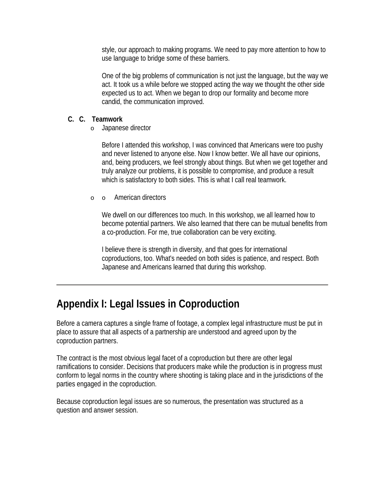style, our approach to making programs. We need to pay more attention to how to use language to bridge some of these barriers.

One of the big problems of communication is not just the language, but the way we act. It took us a while before we stopped acting the way we thought the other side expected us to act. When we began to drop our formality and become more candid, the communication improved.

#### **C. C. Teamwork**

o Japanese director

Before I attended this workshop, I was convinced that Americans were too pushy and never listened to anyone else. Now I know better. We all have our opinions, and, being producers, we feel strongly about things. But when we get together and truly analyze our problems, it is possible to compromise, and produce a result which is satisfactory to both sides. This is what I call real teamwork.

#### o o American directors

We dwell on our differences too much. In this workshop, we all learned how to become potential partners. We also learned that there can be mutual benefits from a co-production. For me, true collaboration can be very exciting.

I believe there is strength in diversity, and that goes for international coproductions, too. What's needed on both sides is patience, and respect. Both Japanese and Americans learned that during this workshop.

# **Appendix I: Legal Issues in Coproduction**

Before a camera captures a single frame of footage, a complex legal infrastructure must be put in place to assure that all aspects of a partnership are understood and agreed upon by the coproduction partners.

The contract is the most obvious legal facet of a coproduction but there are other legal ramifications to consider. Decisions that producers make while the production is in progress must conform to legal norms in the country where shooting is taking place and in the jurisdictions of the parties engaged in the coproduction.

Because coproduction legal issues are so numerous, the presentation was structured as a question and answer session.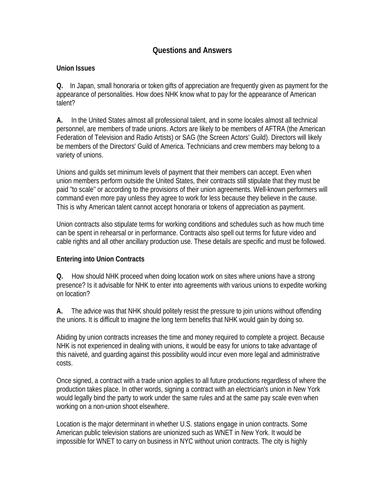### **Questions and Answers**

#### **Union Issues**

**Q.** In Japan, small honoraria or token gifts of appreciation are frequently given as payment for the appearance of personalities. How does NHK know what to pay for the appearance of American talent?

**A.** In the United States almost all professional talent, and in some locales almost all technical personnel, are members of trade unions. Actors are likely to be members of AFTRA (the American Federation of Television and Radio Artists) or SAG (the Screen Actors' Guild). Directors will likely be members of the Directors' Guild of America. Technicians and crew members may belong to a variety of unions.

Unions and guilds set minimum levels of payment that their members can accept. Even when union members perform outside the United States, their contracts still stipulate that they must be paid "to scale" or according to the provisions of their union agreements. Well-known performers will command even more pay unless they agree to work for less because they believe in the cause. This is why American talent cannot accept honoraria or tokens of appreciation as payment.

Union contracts also stipulate terms for working conditions and schedules such as how much time can be spent in rehearsal or in performance. Contracts also spell out terms for future video and cable rights and all other ancillary production use. These details are specific and must be followed.

#### **Entering into Union Contracts**

**Q.** How should NHK proceed when doing location work on sites where unions have a strong presence? Is it advisable for NHK to enter into agreements with various unions to expedite working on location?

**A.** The advice was that NHK should politely resist the pressure to join unions without offending the unions. It is difficult to imagine the long term benefits that NHK would gain by doing so.

Abiding by union contracts increases the time and money required to complete a project. Because NHK is not experienced in dealing with unions, it would be easy for unions to take advantage of this naiveté, and guarding against this possibility would incur even more legal and administrative costs.

Once signed, a contract with a trade union applies to all future productions regardless of where the production takes place. In other words, signing a contract with an electrician's union in New York would legally bind the party to work under the same rules and at the same pay scale even when working on a non-union shoot elsewhere.

Location is the major determinant in whether U.S. stations engage in union contracts. Some American public television stations are unionized such as WNET in New York. It would be impossible for WNET to carry on business in NYC without union contracts. The city is highly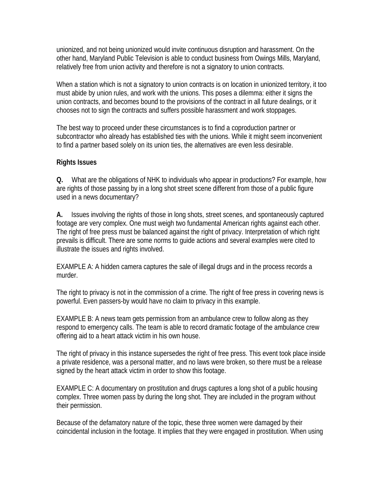unionized, and not being unionized would invite continuous disruption and harassment. On the other hand, Maryland Public Television is able to conduct business from Owings Mills, Maryland, relatively free from union activity and therefore is not a signatory to union contracts.

When a station which is not a signatory to union contracts is on location in unionized territory, it too must abide by union rules, and work with the unions. This poses a dilemma: either it signs the union contracts, and becomes bound to the provisions of the contract in all future dealings, or it chooses not to sign the contracts and suffers possible harassment and work stoppages.

The best way to proceed under these circumstances is to find a coproduction partner or subcontractor who already has established ties with the unions. While it might seem inconvenient to find a partner based solely on its union ties, the alternatives are even less desirable.

#### **Rights Issues**

**Q.** What are the obligations of NHK to individuals who appear in productions? For example, how are rights of those passing by in a long shot street scene different from those of a public figure used in a news documentary?

**A.** Issues involving the rights of those in long shots, street scenes, and spontaneously captured footage are very complex. One must weigh two fundamental American rights against each other. The right of free press must be balanced against the right of privacy. Interpretation of which right prevails is difficult. There are some norms to guide actions and several examples were cited to illustrate the issues and rights involved.

EXAMPLE A: A hidden camera captures the sale of illegal drugs and in the process records a murder.

The right to privacy is not in the commission of a crime. The right of free press in covering news is powerful. Even passers-by would have no claim to privacy in this example.

EXAMPLE B: A news team gets permission from an ambulance crew to follow along as they respond to emergency calls. The team is able to record dramatic footage of the ambulance crew offering aid to a heart attack victim in his own house.

The right of privacy in this instance supersedes the right of free press. This event took place inside a private residence, was a personal matter, and no laws were broken, so there must be a release signed by the heart attack victim in order to show this footage.

EXAMPLE C: A documentary on prostitution and drugs captures a long shot of a public housing complex. Three women pass by during the long shot. They are included in the program without their permission.

Because of the defamatory nature of the topic, these three women were damaged by their coincidental inclusion in the footage. It implies that they were engaged in prostitution. When using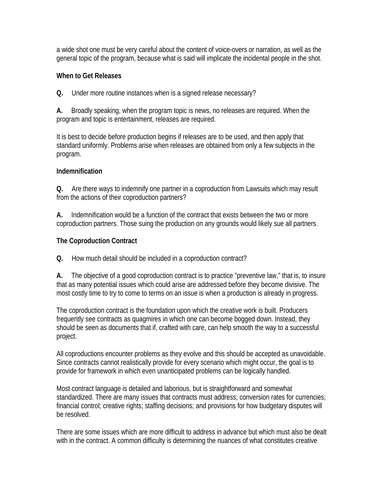a wide shot one must be very careful about the content of voice-overs or narration, as well as the general topic of the program, because what is said will implicate the incidental people in the shot.

#### **When to Get Releases**

**Q.** Under more routine instances when is a signed release necessary?

**A.** Broadly speaking, when the program topic is news, no releases are required. When the program and topic is entertainment, releases are required.

It is best to decide before production begins if releases are to be used, and then apply that standard uniformly. Problems arise when releases are obtained from only a few subjects in the program.

#### **Indemnification**

**Q.** Are there ways to indemnify one partner in a coproduction from Lawsuits which may result from the actions of their coproduction partners?

**A.** Indemnification would be a function of the contract that exists between the two or more coproduction partners. Those suing the production on any grounds would likely sue all partners.

#### **The Coproduction Contract**

**Q.** How much detail should be included in a coproduction contract?

**A.** The objective of a good coproduction contract is to practice "preventive law," that is, to insure that as many potential issues which could arise are addressed before they become divisive. The most costly time to try to come to terms on an issue is when a production is already in progress.

The coproduction contract is the foundation upon which the creative work is built. Producers frequently see contracts as quagmires in which one can become bogged down. Instead, they should be seen as documents that if, crafted with care, can help smooth the way to a successful project.

All coproductions encounter problems as they evolve and this should be accepted as unavoidable. Since contracts cannot realistically provide for every scenario which might occur, the goal is to provide for framework in which even unanticipated problems can be logically handled.

Most contract language is detailed and laborious, but is straightforward and somewhat standardized. There are many issues that contracts must address; conversion rates for currencies; financial control; creative rights; staffing decisions; and provisions for how budgetary disputes will be resolved.

There are some issues which are more difficult to address in advance but which must also be dealt with in the contract. A common difficulty is determining the nuances of what constitutes creative